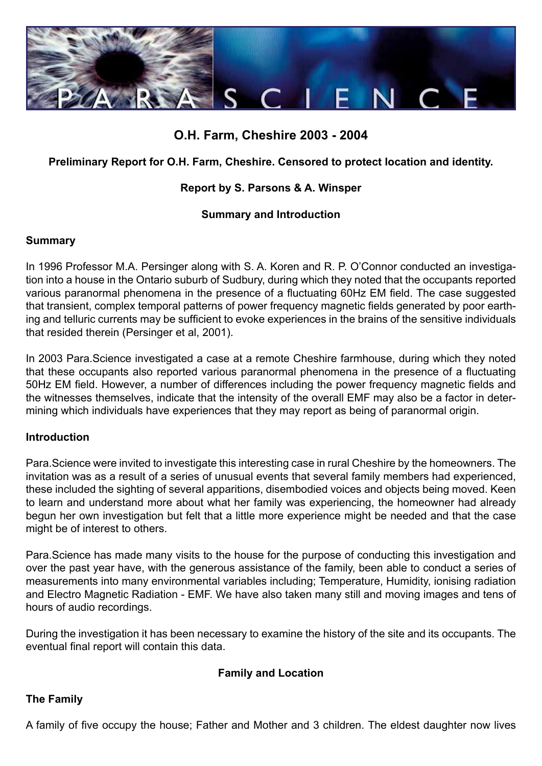

# **O.H. Farm, Cheshire 2003 - 2004**

## **Preliminary Report for O.H. Farm, Cheshire. Censored to protect location and identity.**

# **Report by S. Parsons & A. Winsper**

## **Summary and Introduction**

### **Summary**

In 1996 Professor M.A. Persinger along with S. A. Koren and R. P. O'Connor conducted an investigation into a house in the Ontario suburb of Sudbury, during which they noted that the occupants reported various paranormal phenomena in the presence of a fluctuating 60Hz EM field. The case suggested that transient, complex temporal patterns of power frequency magnetic fields generated by poor earthing and telluric currents may be sufficient to evoke experiences in the brains of the sensitive individuals that resided therein (Persinger et al, 2001).

In 2003 Para.Science investigated a case at a remote Cheshire farmhouse, during which they noted that these occupants also reported various paranormal phenomena in the presence of a fluctuating 50Hz EM field. However, a number of differences including the power frequency magnetic fields and the witnesses themselves, indicate that the intensity of the overall EMF may also be a factor in determining which individuals have experiences that they may report as being of paranormal origin.

#### **Introduction**

Para.Science were invited to investigate this interesting case in rural Cheshire by the homeowners. The invitation was as a result of a series of unusual events that several family members had experienced, these included the sighting of several apparitions, disembodied voices and objects being moved. Keen to learn and understand more about what her family was experiencing, the homeowner had already begun her own investigation but felt that a little more experience might be needed and that the case might be of interest to others.

Para.Science has made many visits to the house for the purpose of conducting this investigation and over the past year have, with the generous assistance of the family, been able to conduct a series of measurements into many environmental variables including; Temperature, Humidity, ionising radiation and Electro Magnetic Radiation - EMF. We have also taken many still and moving images and tens of hours of audio recordings.

During the investigation it has been necessary to examine the history of the site and its occupants. The eventual final report will contain this data.

#### **Family and Location**

## **The Family**

A family of five occupy the house; Father and Mother and 3 children. The eldest daughter now lives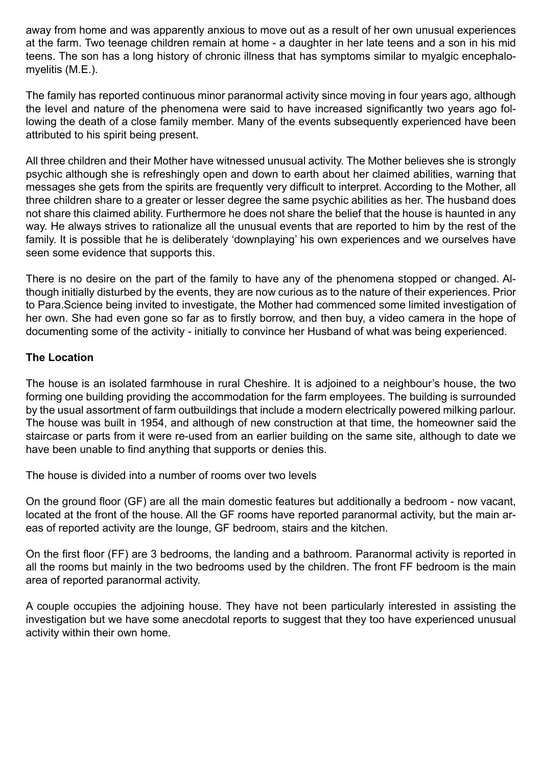away from home and was apparently anxious to move out as a result of her own unusual experiences at the farm. Two teenage children remain at home - a daughter in her late teens and a son in his mid teens. The son has a long history of chronic illness that has symptoms similar to myalgic encephalomyelitis (M.E.).

The family has reported continuous minor paranormal activity since moving in four years ago, although the level and nature of the phenomena were said to have increased significantly two years ago following the death of a close family member. Many of the events subsequently experienced have been attributed to his spirit being present.

All three children and their Mother have witnessed unusual activity. The Mother believes she is strongly psychic although she is refreshingly open and down to earth about her claimed abilities, warning that messages she gets from the spirits are frequently very difficult to interpret. According to the Mother, all three children share to a greater or lesser degree the same psychic abilities as her. The husband does not share this claimed ability. Furthermore he does not share the belief that the house is haunted in any way. He always strives to rationalize all the unusual events that are reported to him by the rest of the family. It is possible that he is deliberately 'downplaying' his own experiences and we ourselves have seen some evidence that supports this.

There is no desire on the part of the family to have any of the phenomena stopped or changed. Although initially disturbed by the events, they are now curious as to the nature of their experiences. Prior to Para.Science being invited to investigate, the Mother had commenced some limited investigation of her own. She had even gone so far as to firstly borrow, and then buy, a video camera in the hope of documenting some of the activity - initially to convince her Husband of what was being experienced.

## **The Location**

The house is an isolated farmhouse in rural Cheshire. It is adjoined to a neighbour's house, the two forming one building providing the accommodation for the farm employees. The building is surrounded by the usual assortment of farm outbuildings that include a modern electrically powered milking parlour. The house was built in 1954, and although of new construction at that time, the homeowner said the staircase or parts from it were re-used from an earlier building on the same site, although to date we have been unable to find anything that supports or denies this.

The house is divided into a number of rooms over two levels

On the ground floor (GF) are all the main domestic features but additionally a bedroom - now vacant, located at the front of the house. All the GF rooms have reported paranormal activity, but the main areas of reported activity are the lounge, GF bedroom, stairs and the kitchen.

On the first floor (FF) are 3 bedrooms, the landing and a bathroom. Paranormal activity is reported in all the rooms but mainly in the two bedrooms used by the children. The front FF bedroom is the main area of reported paranormal activity.

A couple occupies the adjoining house. They have not been particularly interested in assisting the investigation but we have some anecdotal reports to suggest that they too have experienced unusual activity within their own home.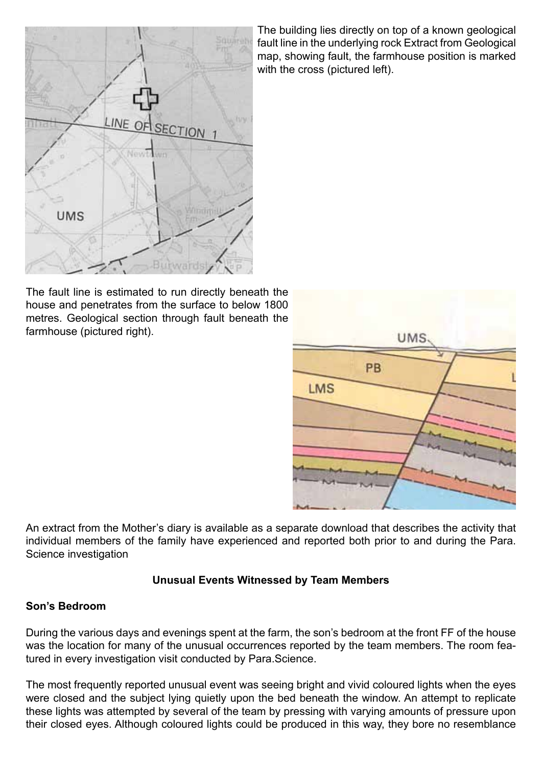

The building lies directly on top of a known geological fault line in the underlying rock Extract from Geological map, showing fault, the farmhouse position is marked with the cross (pictured left).

The fault line is estimated to run directly beneath the house and penetrates from the surface to below 1800 metres. Geological section through fault beneath the farmhouse (pictured right).



An extract from the Mother's diary is available as a separate download that describes the activity that individual members of the family have experienced and reported both prior to and during the Para. Science investigation

## **Unusual Events Witnessed by Team Members**

## **Son's Bedroom**

During the various days and evenings spent at the farm, the son's bedroom at the front FF of the house was the location for many of the unusual occurrences reported by the team members. The room featured in every investigation visit conducted by Para.Science.

The most frequently reported unusual event was seeing bright and vivid coloured lights when the eyes were closed and the subject lying quietly upon the bed beneath the window. An attempt to replicate these lights was attempted by several of the team by pressing with varying amounts of pressure upon their closed eyes. Although coloured lights could be produced in this way, they bore no resemblance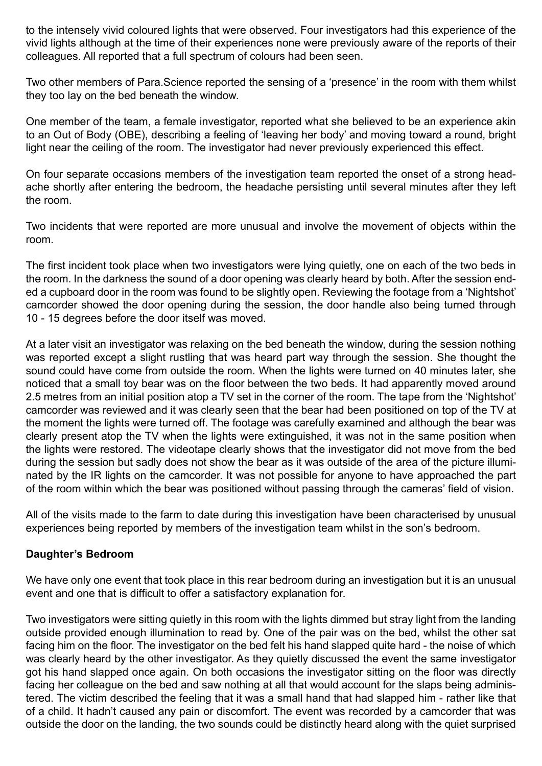to the intensely vivid coloured lights that were observed. Four investigators had this experience of the vivid lights although at the time of their experiences none were previously aware of the reports of their colleagues. All reported that a full spectrum of colours had been seen.

Two other members of Para.Science reported the sensing of a 'presence' in the room with them whilst they too lay on the bed beneath the window.

One member of the team, a female investigator, reported what she believed to be an experience akin to an Out of Body (OBE), describing a feeling of 'leaving her body' and moving toward a round, bright light near the ceiling of the room. The investigator had never previously experienced this effect.

On four separate occasions members of the investigation team reported the onset of a strong headache shortly after entering the bedroom, the headache persisting until several minutes after they left the room.

Two incidents that were reported are more unusual and involve the movement of objects within the room.

The first incident took place when two investigators were lying quietly, one on each of the two beds in the room. In the darkness the sound of a door opening was clearly heard by both. After the session ended a cupboard door in the room was found to be slightly open. Reviewing the footage from a 'Nightshot' camcorder showed the door opening during the session, the door handle also being turned through 10 - 15 degrees before the door itself was moved.

At a later visit an investigator was relaxing on the bed beneath the window, during the session nothing was reported except a slight rustling that was heard part way through the session. She thought the sound could have come from outside the room. When the lights were turned on 40 minutes later, she noticed that a small toy bear was on the floor between the two beds. It had apparently moved around 2.5 metres from an initial position atop a TV set in the corner of the room. The tape from the 'Nightshot' camcorder was reviewed and it was clearly seen that the bear had been positioned on top of the TV at the moment the lights were turned off. The footage was carefully examined and although the bear was clearly present atop the TV when the lights were extinguished, it was not in the same position when the lights were restored. The videotape clearly shows that the investigator did not move from the bed during the session but sadly does not show the bear as it was outside of the area of the picture illuminated by the IR lights on the camcorder. It was not possible for anyone to have approached the part of the room within which the bear was positioned without passing through the cameras' field of vision.

All of the visits made to the farm to date during this investigation have been characterised by unusual experiences being reported by members of the investigation team whilst in the son's bedroom.

## **Daughter's Bedroom**

We have only one event that took place in this rear bedroom during an investigation but it is an unusual event and one that is difficult to offer a satisfactory explanation for.

Two investigators were sitting quietly in this room with the lights dimmed but stray light from the landing outside provided enough illumination to read by. One of the pair was on the bed, whilst the other sat facing him on the floor. The investigator on the bed felt his hand slapped quite hard - the noise of which was clearly heard by the other investigator. As they quietly discussed the event the same investigator got his hand slapped once again. On both occasions the investigator sitting on the floor was directly facing her colleague on the bed and saw nothing at all that would account for the slaps being administered. The victim described the feeling that it was a small hand that had slapped him - rather like that of a child. It hadn't caused any pain or discomfort. The event was recorded by a camcorder that was outside the door on the landing, the two sounds could be distinctly heard along with the quiet surprised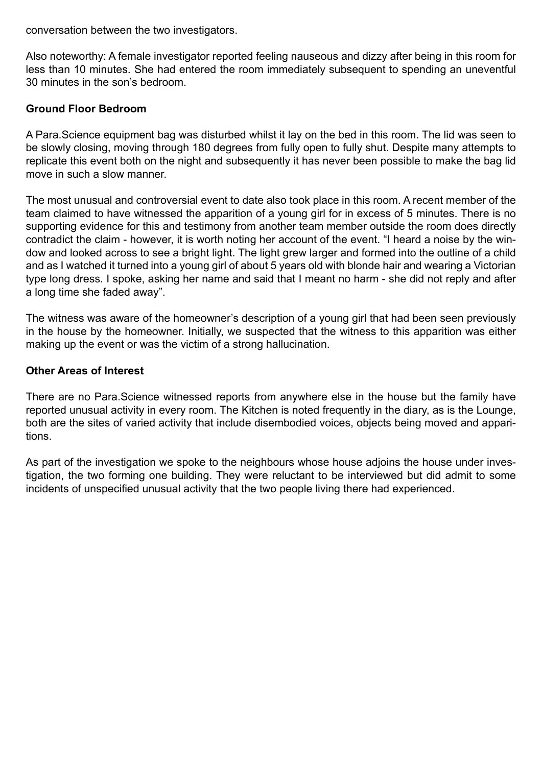conversation between the two investigators.

Also noteworthy: A female investigator reported feeling nauseous and dizzy after being in this room for less than 10 minutes. She had entered the room immediately subsequent to spending an uneventful 30 minutes in the son's bedroom.

### **Ground Floor Bedroom**

A Para.Science equipment bag was disturbed whilst it lay on the bed in this room. The lid was seen to be slowly closing, moving through 180 degrees from fully open to fully shut. Despite many attempts to replicate this event both on the night and subsequently it has never been possible to make the bag lid move in such a slow manner.

The most unusual and controversial event to date also took place in this room. A recent member of the team claimed to have witnessed the apparition of a young girl for in excess of 5 minutes. There is no supporting evidence for this and testimony from another team member outside the room does directly contradict the claim - however, it is worth noting her account of the event. "I heard a noise by the window and looked across to see a bright light. The light grew larger and formed into the outline of a child and as I watched it turned into a young girl of about 5 years old with blonde hair and wearing a Victorian type long dress. I spoke, asking her name and said that I meant no harm - she did not reply and after a long time she faded away".

The witness was aware of the homeowner's description of a young girl that had been seen previously in the house by the homeowner. Initially, we suspected that the witness to this apparition was either making up the event or was the victim of a strong hallucination.

#### **Other Areas of Interest**

There are no Para.Science witnessed reports from anywhere else in the house but the family have reported unusual activity in every room. The Kitchen is noted frequently in the diary, as is the Lounge, both are the sites of varied activity that include disembodied voices, objects being moved and apparitions.

As part of the investigation we spoke to the neighbours whose house adjoins the house under investigation, the two forming one building. They were reluctant to be interviewed but did admit to some incidents of unspecified unusual activity that the two people living there had experienced.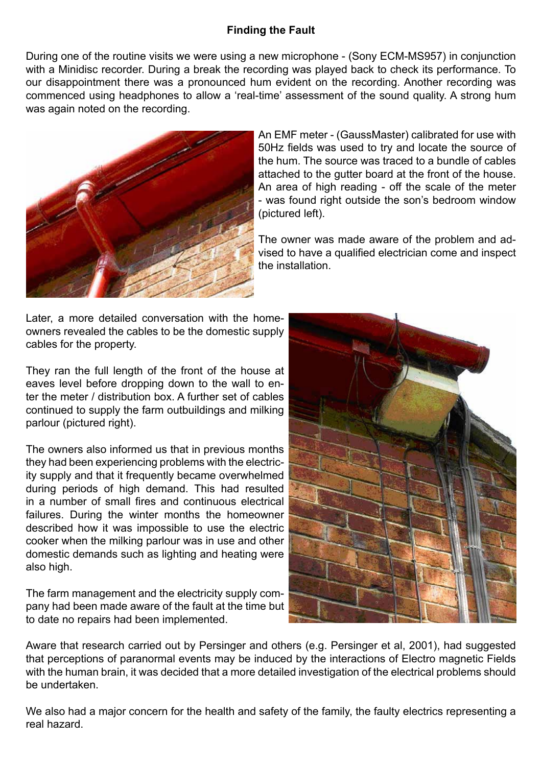## **Finding the Fault**

During one of the routine visits we were using a new microphone - (Sony ECM-MS957) in conjunction with a Minidisc recorder. During a break the recording was played back to check its performance. To our disappointment there was a pronounced hum evident on the recording. Another recording was commenced using headphones to allow a 'real-time' assessment of the sound quality. A strong hum was again noted on the recording.



An EMF meter - (GaussMaster) calibrated for use with 50Hz fields was used to try and locate the source of the hum. The source was traced to a bundle of cables attached to the gutter board at the front of the house. An area of high reading - off the scale of the meter - was found right outside the son's bedroom window (pictured left).

The owner was made aware of the problem and advised to have a qualified electrician come and inspect the installation.

Later, a more detailed conversation with the homeowners revealed the cables to be the domestic supply cables for the property.

They ran the full length of the front of the house at eaves level before dropping down to the wall to enter the meter / distribution box. A further set of cables continued to supply the farm outbuildings and milking parlour (pictured right).

The owners also informed us that in previous months they had been experiencing problems with the electricity supply and that it frequently became overwhelmed during periods of high demand. This had resulted in a number of small fires and continuous electrical failures. During the winter months the homeowner described how it was impossible to use the electric cooker when the milking parlour was in use and other domestic demands such as lighting and heating were also high.

The farm management and the electricity supply company had been made aware of the fault at the time but to date no repairs had been implemented.



Aware that research carried out by Persinger and others (e.g. Persinger et al, 2001), had suggested that perceptions of paranormal events may be induced by the interactions of Electro magnetic Fields with the human brain, it was decided that a more detailed investigation of the electrical problems should be undertaken.

We also had a major concern for the health and safety of the family, the faulty electrics representing a real hazard.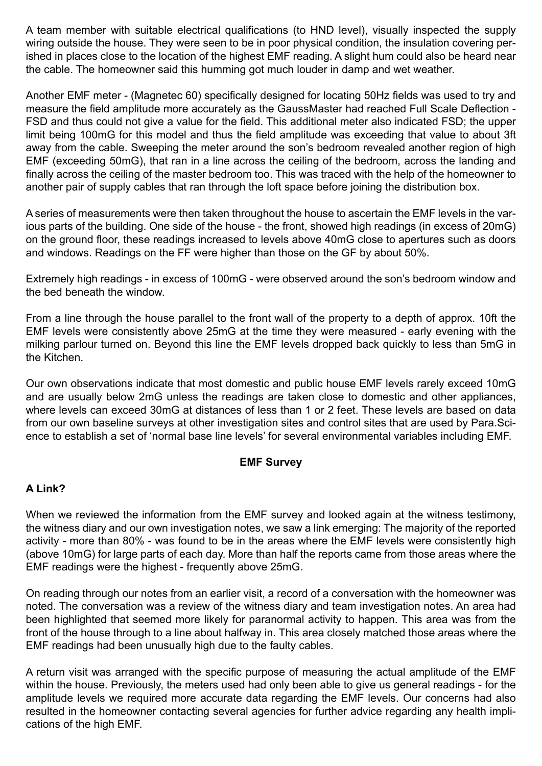A team member with suitable electrical qualifications (to HND level), visually inspected the supply wiring outside the house. They were seen to be in poor physical condition, the insulation covering perished in places close to the location of the highest EMF reading. A slight hum could also be heard near the cable. The homeowner said this humming got much louder in damp and wet weather.

Another EMF meter - (Magnetec 60) specifically designed for locating 50Hz fields was used to try and measure the field amplitude more accurately as the GaussMaster had reached Full Scale Deflection - FSD and thus could not give a value for the field. This additional meter also indicated FSD; the upper limit being 100mG for this model and thus the field amplitude was exceeding that value to about 3ft away from the cable. Sweeping the meter around the son's bedroom revealed another region of high EMF (exceeding 50mG), that ran in a line across the ceiling of the bedroom, across the landing and finally across the ceiling of the master bedroom too. This was traced with the help of the homeowner to another pair of supply cables that ran through the loft space before joining the distribution box.

A series of measurements were then taken throughout the house to ascertain the EMF levels in the various parts of the building. One side of the house - the front, showed high readings (in excess of 20mG) on the ground floor, these readings increased to levels above 40mG close to apertures such as doors and windows. Readings on the FF were higher than those on the GF by about 50%.

Extremely high readings - in excess of 100mG - were observed around the son's bedroom window and the bed beneath the window.

From a line through the house parallel to the front wall of the property to a depth of approx. 10ft the EMF levels were consistently above 25mG at the time they were measured - early evening with the milking parlour turned on. Beyond this line the EMF levels dropped back quickly to less than 5mG in the Kitchen.

Our own observations indicate that most domestic and public house EMF levels rarely exceed 10mG and are usually below 2mG unless the readings are taken close to domestic and other appliances, where levels can exceed 30mG at distances of less than 1 or 2 feet. These levels are based on data from our own baseline surveys at other investigation sites and control sites that are used by Para.Science to establish a set of 'normal base line levels' for several environmental variables including EMF.

## **EMF Survey**

## **A Link?**

When we reviewed the information from the EMF survey and looked again at the witness testimony, the witness diary and our own investigation notes, we saw a link emerging: The majority of the reported activity - more than 80% - was found to be in the areas where the EMF levels were consistently high (above 10mG) for large parts of each day. More than half the reports came from those areas where the EMF readings were the highest - frequently above 25mG.

On reading through our notes from an earlier visit, a record of a conversation with the homeowner was noted. The conversation was a review of the witness diary and team investigation notes. An area had been highlighted that seemed more likely for paranormal activity to happen. This area was from the front of the house through to a line about halfway in. This area closely matched those areas where the EMF readings had been unusually high due to the faulty cables.

A return visit was arranged with the specific purpose of measuring the actual amplitude of the EMF within the house. Previously, the meters used had only been able to give us general readings - for the amplitude levels we required more accurate data regarding the EMF levels. Our concerns had also resulted in the homeowner contacting several agencies for further advice regarding any health implications of the high EMF.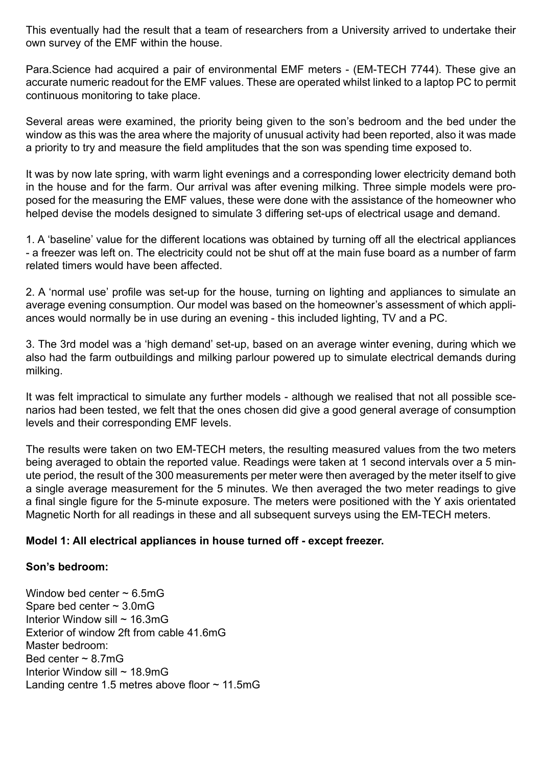This eventually had the result that a team of researchers from a University arrived to undertake their own survey of the EMF within the house.

Para.Science had acquired a pair of environmental EMF meters - (EM-TECH 7744). These give an accurate numeric readout for the EMF values. These are operated whilst linked to a laptop PC to permit continuous monitoring to take place.

Several areas were examined, the priority being given to the son's bedroom and the bed under the window as this was the area where the majority of unusual activity had been reported, also it was made a priority to try and measure the field amplitudes that the son was spending time exposed to.

It was by now late spring, with warm light evenings and a corresponding lower electricity demand both in the house and for the farm. Our arrival was after evening milking. Three simple models were proposed for the measuring the EMF values, these were done with the assistance of the homeowner who helped devise the models designed to simulate 3 differing set-ups of electrical usage and demand.

1. A 'baseline' value for the different locations was obtained by turning off all the electrical appliances - a freezer was left on. The electricity could not be shut off at the main fuse board as a number of farm related timers would have been affected.

2. A 'normal use' profile was set-up for the house, turning on lighting and appliances to simulate an average evening consumption. Our model was based on the homeowner's assessment of which appliances would normally be in use during an evening - this included lighting, TV and a PC.

3. The 3rd model was a 'high demand' set-up, based on an average winter evening, during which we also had the farm outbuildings and milking parlour powered up to simulate electrical demands during milking.

It was felt impractical to simulate any further models - although we realised that not all possible scenarios had been tested, we felt that the ones chosen did give a good general average of consumption levels and their corresponding EMF levels.

The results were taken on two EM-TECH meters, the resulting measured values from the two meters being averaged to obtain the reported value. Readings were taken at 1 second intervals over a 5 minute period, the result of the 300 measurements per meter were then averaged by the meter itself to give a single average measurement for the 5 minutes. We then averaged the two meter readings to give a final single figure for the 5-minute exposure. The meters were positioned with the Y axis orientated Magnetic North for all readings in these and all subsequent surveys using the EM-TECH meters.

## **Model 1: All electrical appliances in house turned off - except freezer.**

#### **Son's bedroom:**

Window bed center  $\sim 6.5 \text{mG}$ Spare bed center  $\sim$  3.0mG Interior Window sill ~ 16.3mG Exterior of window 2ft from cable 41.6mG Master bedroom: Bed center  $\sim 8.7 \text{mG}$ Interior Window sill ~ 18.9mG Landing centre 1.5 metres above floor  $\sim$  11.5mG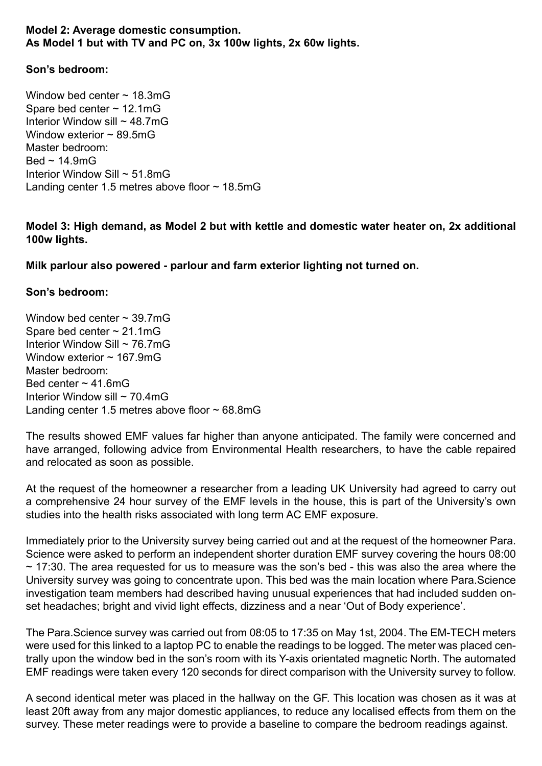### **Model 2: Average domestic consumption. As Model 1 but with TV and PC on, 3x 100w lights, 2x 60w lights.**

### **Son's bedroom:**

Window bed center  $\sim$  18.3mG Spare bed center ~ 12.1mG Interior Window sill ~ 48.7mG Window exterior  $\sim$  89.5mG Master bedroom:  $Bed \sim 14.9 \text{mG}$ Interior Window Sill ~ 51.8mG Landing center 1.5 metres above floor  $\sim$  18.5mG

**Model 3: High demand, as Model 2 but with kettle and domestic water heater on, 2x additional 100w lights.** 

**Milk parlour also powered - parlour and farm exterior lighting not turned on.** 

### **Son's bedroom:**

Window bed center  $\sim$  39.7mG Spare bed center ~ 21.1mG Interior Window Sill ~ 76.7mG Window exterior  $\sim$  167.9mG Master bedroom: Bed center  $\sim$  41.6mG Interior Window sill  $\sim$  70 4mG Landing center 1.5 metres above floor  $\sim 68.8 \text{mG}$ 

The results showed EMF values far higher than anyone anticipated. The family were concerned and have arranged, following advice from Environmental Health researchers, to have the cable repaired and relocated as soon as possible.

At the request of the homeowner a researcher from a leading UK University had agreed to carry out a comprehensive 24 hour survey of the EMF levels in the house, this is part of the University's own studies into the health risks associated with long term AC EMF exposure.

Immediately prior to the University survey being carried out and at the request of the homeowner Para. Science were asked to perform an independent shorter duration EMF survey covering the hours 08:00  $\sim$  17:30. The area requested for us to measure was the son's bed - this was also the area where the University survey was going to concentrate upon. This bed was the main location where Para.Science investigation team members had described having unusual experiences that had included sudden onset headaches; bright and vivid light effects, dizziness and a near 'Out of Body experience'.

The Para.Science survey was carried out from 08:05 to 17:35 on May 1st, 2004. The EM-TECH meters were used for this linked to a laptop PC to enable the readings to be logged. The meter was placed centrally upon the window bed in the son's room with its Y-axis orientated magnetic North. The automated EMF readings were taken every 120 seconds for direct comparison with the University survey to follow.

A second identical meter was placed in the hallway on the GF. This location was chosen as it was at least 20ft away from any major domestic appliances, to reduce any localised effects from them on the survey. These meter readings were to provide a baseline to compare the bedroom readings against.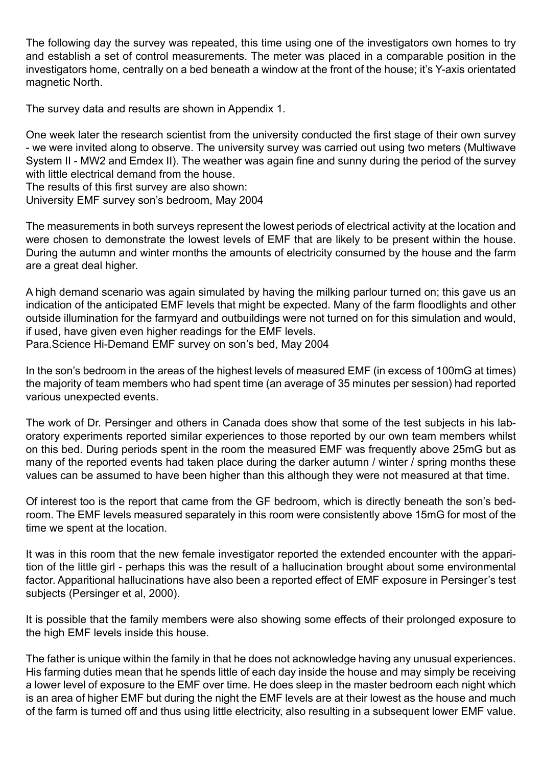The following day the survey was repeated, this time using one of the investigators own homes to try and establish a set of control measurements. The meter was placed in a comparable position in the investigators home, centrally on a bed beneath a window at the front of the house; it's Y-axis orientated magnetic North.

The survey data and results are shown in Appendix 1.

One week later the research scientist from the university conducted the first stage of their own survey - we were invited along to observe. The university survey was carried out using two meters (Multiwave System II - MW2 and Emdex II). The weather was again fine and sunny during the period of the survey with little electrical demand from the house.

The results of this first survey are also shown:

University EMF survey son's bedroom, May 2004

The measurements in both surveys represent the lowest periods of electrical activity at the location and were chosen to demonstrate the lowest levels of EMF that are likely to be present within the house. During the autumn and winter months the amounts of electricity consumed by the house and the farm are a great deal higher.

A high demand scenario was again simulated by having the milking parlour turned on; this gave us an indication of the anticipated EMF levels that might be expected. Many of the farm floodlights and other outside illumination for the farmyard and outbuildings were not turned on for this simulation and would, if used, have given even higher readings for the EMF levels. Para.Science Hi-Demand EMF survey on son's bed, May 2004

In the son's bedroom in the areas of the highest levels of measured EMF (in excess of 100mG at times) the majority of team members who had spent time (an average of 35 minutes per session) had reported various unexpected events.

The work of Dr. Persinger and others in Canada does show that some of the test subjects in his laboratory experiments reported similar experiences to those reported by our own team members whilst on this bed. During periods spent in the room the measured EMF was frequently above 25mG but as many of the reported events had taken place during the darker autumn / winter / spring months these values can be assumed to have been higher than this although they were not measured at that time.

Of interest too is the report that came from the GF bedroom, which is directly beneath the son's bedroom. The EMF levels measured separately in this room were consistently above 15mG for most of the time we spent at the location.

It was in this room that the new female investigator reported the extended encounter with the apparition of the little girl - perhaps this was the result of a hallucination brought about some environmental factor. Apparitional hallucinations have also been a reported effect of EMF exposure in Persinger's test subjects (Persinger et al, 2000).

It is possible that the family members were also showing some effects of their prolonged exposure to the high EMF levels inside this house.

The father is unique within the family in that he does not acknowledge having any unusual experiences. His farming duties mean that he spends little of each day inside the house and may simply be receiving a lower level of exposure to the EMF over time. He does sleep in the master bedroom each night which is an area of higher EMF but during the night the EMF levels are at their lowest as the house and much of the farm is turned off and thus using little electricity, also resulting in a subsequent lower EMF value.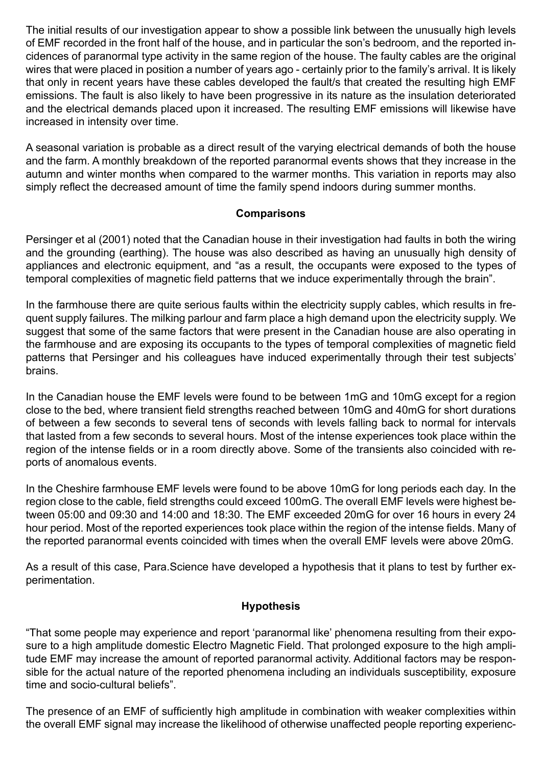The initial results of our investigation appear to show a possible link between the unusually high levels of EMF recorded in the front half of the house, and in particular the son's bedroom, and the reported incidences of paranormal type activity in the same region of the house. The faulty cables are the original wires that were placed in position a number of years ago - certainly prior to the family's arrival. It is likely that only in recent years have these cables developed the fault/s that created the resulting high EMF emissions. The fault is also likely to have been progressive in its nature as the insulation deteriorated and the electrical demands placed upon it increased. The resulting EMF emissions will likewise have increased in intensity over time.

A seasonal variation is probable as a direct result of the varying electrical demands of both the house and the farm. A monthly breakdown of the reported paranormal events shows that they increase in the autumn and winter months when compared to the warmer months. This variation in reports may also simply reflect the decreased amount of time the family spend indoors during summer months.

## **Comparisons**

Persinger et al (2001) noted that the Canadian house in their investigation had faults in both the wiring and the grounding (earthing). The house was also described as having an unusually high density of appliances and electronic equipment, and "as a result, the occupants were exposed to the types of temporal complexities of magnetic field patterns that we induce experimentally through the brain".

In the farmhouse there are quite serious faults within the electricity supply cables, which results in frequent supply failures. The milking parlour and farm place a high demand upon the electricity supply. We suggest that some of the same factors that were present in the Canadian house are also operating in the farmhouse and are exposing its occupants to the types of temporal complexities of magnetic field patterns that Persinger and his colleagues have induced experimentally through their test subjects' brains.

In the Canadian house the EMF levels were found to be between 1mG and 10mG except for a region close to the bed, where transient field strengths reached between 10mG and 40mG for short durations of between a few seconds to several tens of seconds with levels falling back to normal for intervals that lasted from a few seconds to several hours. Most of the intense experiences took place within the region of the intense fields or in a room directly above. Some of the transients also coincided with reports of anomalous events.

In the Cheshire farmhouse EMF levels were found to be above 10mG for long periods each day. In the region close to the cable, field strengths could exceed 100mG. The overall EMF levels were highest between 05:00 and 09:30 and 14:00 and 18:30. The EMF exceeded 20mG for over 16 hours in every 24 hour period. Most of the reported experiences took place within the region of the intense fields. Many of the reported paranormal events coincided with times when the overall EMF levels were above 20mG.

As a result of this case, Para.Science have developed a hypothesis that it plans to test by further experimentation.

## **Hypothesis**

"That some people may experience and report 'paranormal like' phenomena resulting from their exposure to a high amplitude domestic Electro Magnetic Field. That prolonged exposure to the high amplitude EMF may increase the amount of reported paranormal activity. Additional factors may be responsible for the actual nature of the reported phenomena including an individuals susceptibility, exposure time and socio-cultural beliefs".

The presence of an EMF of sufficiently high amplitude in combination with weaker complexities within the overall EMF signal may increase the likelihood of otherwise unaffected people reporting experienc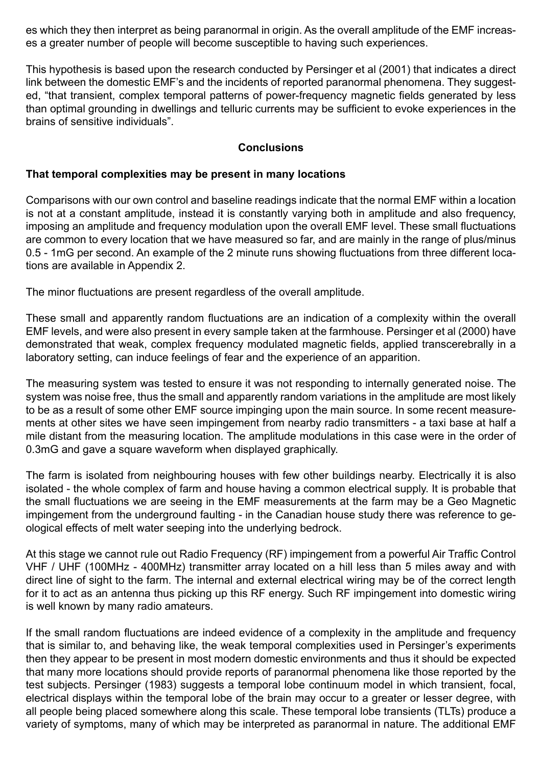es which they then interpret as being paranormal in origin. As the overall amplitude of the EMF increases a greater number of people will become susceptible to having such experiences.

This hypothesis is based upon the research conducted by Persinger et al (2001) that indicates a direct link between the domestic EMF's and the incidents of reported paranormal phenomena. They suggested, "that transient, complex temporal patterns of power-frequency magnetic fields generated by less than optimal grounding in dwellings and telluric currents may be sufficient to evoke experiences in the brains of sensitive individuals".

## **Conclusions**

### **That temporal complexities may be present in many locations**

Comparisons with our own control and baseline readings indicate that the normal EMF within a location is not at a constant amplitude, instead it is constantly varying both in amplitude and also frequency, imposing an amplitude and frequency modulation upon the overall EMF level. These small fluctuations are common to every location that we have measured so far, and are mainly in the range of plus/minus 0.5 - 1mG per second. An example of the 2 minute runs showing fluctuations from three different locations are available in Appendix 2.

The minor fluctuations are present regardless of the overall amplitude.

These small and apparently random fluctuations are an indication of a complexity within the overall EMF levels, and were also present in every sample taken at the farmhouse. Persinger et al (2000) have demonstrated that weak, complex frequency modulated magnetic fields, applied transcerebrally in a laboratory setting, can induce feelings of fear and the experience of an apparition.

The measuring system was tested to ensure it was not responding to internally generated noise. The system was noise free, thus the small and apparently random variations in the amplitude are most likely to be as a result of some other EMF source impinging upon the main source. In some recent measurements at other sites we have seen impingement from nearby radio transmitters - a taxi base at half a mile distant from the measuring location. The amplitude modulations in this case were in the order of 0.3mG and gave a square waveform when displayed graphically.

The farm is isolated from neighbouring houses with few other buildings nearby. Electrically it is also isolated - the whole complex of farm and house having a common electrical supply. It is probable that the small fluctuations we are seeing in the EMF measurements at the farm may be a Geo Magnetic impingement from the underground faulting - in the Canadian house study there was reference to geological effects of melt water seeping into the underlying bedrock.

At this stage we cannot rule out Radio Frequency (RF) impingement from a powerful Air Traffic Control VHF / UHF (100MHz - 400MHz) transmitter array located on a hill less than 5 miles away and with direct line of sight to the farm. The internal and external electrical wiring may be of the correct length for it to act as an antenna thus picking up this RF energy. Such RF impingement into domestic wiring is well known by many radio amateurs.

If the small random fluctuations are indeed evidence of a complexity in the amplitude and frequency that is similar to, and behaving like, the weak temporal complexities used in Persinger's experiments then they appear to be present in most modern domestic environments and thus it should be expected that many more locations should provide reports of paranormal phenomena like those reported by the test subjects. Persinger (1983) suggests a temporal lobe continuum model in which transient, focal, electrical displays within the temporal lobe of the brain may occur to a greater or lesser degree, with all people being placed somewhere along this scale. These temporal lobe transients (TLTs) produce a variety of symptoms, many of which may be interpreted as paranormal in nature. The additional EMF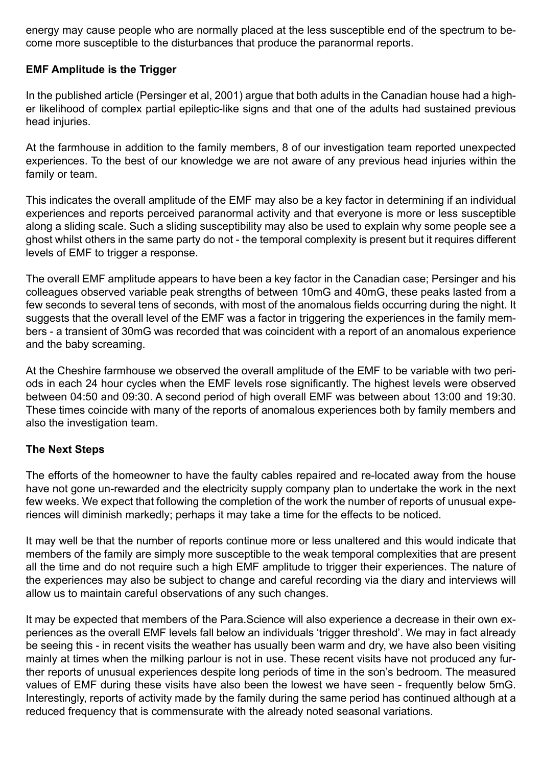energy may cause people who are normally placed at the less susceptible end of the spectrum to become more susceptible to the disturbances that produce the paranormal reports.

## **EMF Amplitude is the Trigger**

In the published article (Persinger et al, 2001) argue that both adults in the Canadian house had a higher likelihood of complex partial epileptic-like signs and that one of the adults had sustained previous head injuries.

At the farmhouse in addition to the family members, 8 of our investigation team reported unexpected experiences. To the best of our knowledge we are not aware of any previous head injuries within the family or team.

This indicates the overall amplitude of the EMF may also be a key factor in determining if an individual experiences and reports perceived paranormal activity and that everyone is more or less susceptible along a sliding scale. Such a sliding susceptibility may also be used to explain why some people see a ghost whilst others in the same party do not - the temporal complexity is present but it requires different levels of EMF to trigger a response.

The overall EMF amplitude appears to have been a key factor in the Canadian case; Persinger and his colleagues observed variable peak strengths of between 10mG and 40mG, these peaks lasted from a few seconds to several tens of seconds, with most of the anomalous fields occurring during the night. It suggests that the overall level of the EMF was a factor in triggering the experiences in the family members - a transient of 30mG was recorded that was coincident with a report of an anomalous experience and the baby screaming.

At the Cheshire farmhouse we observed the overall amplitude of the EMF to be variable with two periods in each 24 hour cycles when the EMF levels rose significantly. The highest levels were observed between 04:50 and 09:30. A second period of high overall EMF was between about 13:00 and 19:30. These times coincide with many of the reports of anomalous experiences both by family members and also the investigation team.

## **The Next Steps**

The efforts of the homeowner to have the faulty cables repaired and re-located away from the house have not gone un-rewarded and the electricity supply company plan to undertake the work in the next few weeks. We expect that following the completion of the work the number of reports of unusual experiences will diminish markedly; perhaps it may take a time for the effects to be noticed.

It may well be that the number of reports continue more or less unaltered and this would indicate that members of the family are simply more susceptible to the weak temporal complexities that are present all the time and do not require such a high EMF amplitude to trigger their experiences. The nature of the experiences may also be subject to change and careful recording via the diary and interviews will allow us to maintain careful observations of any such changes.

It may be expected that members of the Para.Science will also experience a decrease in their own experiences as the overall EMF levels fall below an individuals 'trigger threshold'. We may in fact already be seeing this - in recent visits the weather has usually been warm and dry, we have also been visiting mainly at times when the milking parlour is not in use. These recent visits have not produced any further reports of unusual experiences despite long periods of time in the son's bedroom. The measured values of EMF during these visits have also been the lowest we have seen - frequently below 5mG. Interestingly, reports of activity made by the family during the same period has continued although at a reduced frequency that is commensurate with the already noted seasonal variations.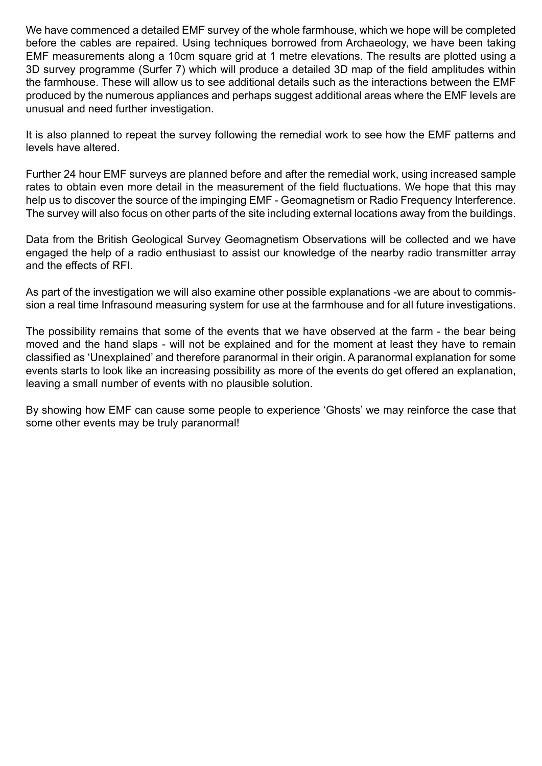We have commenced a detailed EMF survey of the whole farmhouse, which we hope will be completed before the cables are repaired. Using techniques borrowed from Archaeology, we have been taking EMF measurements along a 10cm square grid at 1 metre elevations. The results are plotted using a 3D survey programme (Surfer 7) which will produce a detailed 3D map of the field amplitudes within the farmhouse. These will allow us to see additional details such as the interactions between the EMF produced by the numerous appliances and perhaps suggest additional areas where the EMF levels are unusual and need further investigation.

It is also planned to repeat the survey following the remedial work to see how the EMF patterns and levels have altered.

Further 24 hour EMF surveys are planned before and after the remedial work, using increased sample rates to obtain even more detail in the measurement of the field fluctuations. We hope that this may help us to discover the source of the impinging EMF - Geomagnetism or Radio Frequency Interference. The survey will also focus on other parts of the site including external locations away from the buildings.

Data from the British Geological Survey Geomagnetism Observations will be collected and we have engaged the help of a radio enthusiast to assist our knowledge of the nearby radio transmitter array and the effects of RFI.

As part of the investigation we will also examine other possible explanations -we are about to commission a real time Infrasound measuring system for use at the farmhouse and for all future investigations.

The possibility remains that some of the events that we have observed at the farm - the bear being moved and the hand slaps - will not be explained and for the moment at least they have to remain classified as 'Unexplained' and therefore paranormal in their origin. A paranormal explanation for some events starts to look like an increasing possibility as more of the events do get offered an explanation, leaving a small number of events with no plausible solution.

By showing how EMF can cause some people to experience 'Ghosts' we may reinforce the case that some other events may be truly paranormal!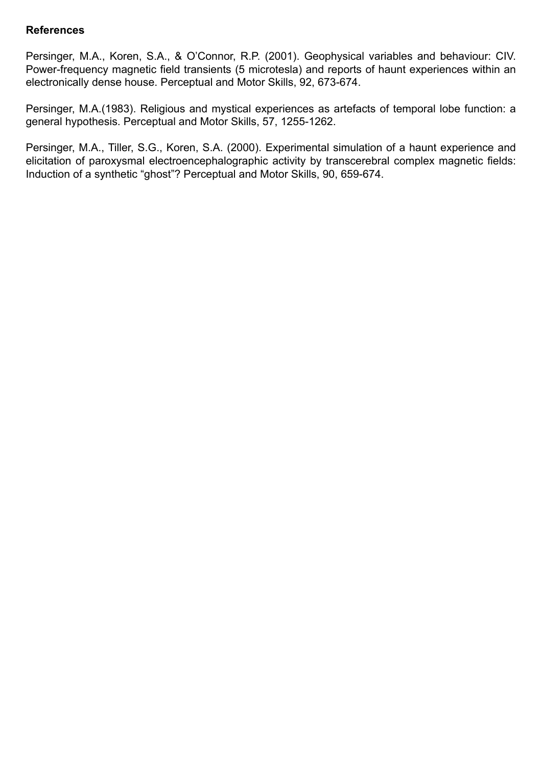## **References**

Persinger, M.A., Koren, S.A., & O'Connor, R.P. (2001). Geophysical variables and behaviour: CIV. Power-frequency magnetic field transients (5 microtesla) and reports of haunt experiences within an electronically dense house. Perceptual and Motor Skills, 92, 673-674.

Persinger, M.A.(1983). Religious and mystical experiences as artefacts of temporal lobe function: a general hypothesis. Perceptual and Motor Skills, 57, 1255-1262.

Persinger, M.A., Tiller, S.G., Koren, S.A. (2000). Experimental simulation of a haunt experience and elicitation of paroxysmal electroencephalographic activity by transcerebral complex magnetic fields: Induction of a synthetic "ghost"? Perceptual and Motor Skills, 90, 659-674.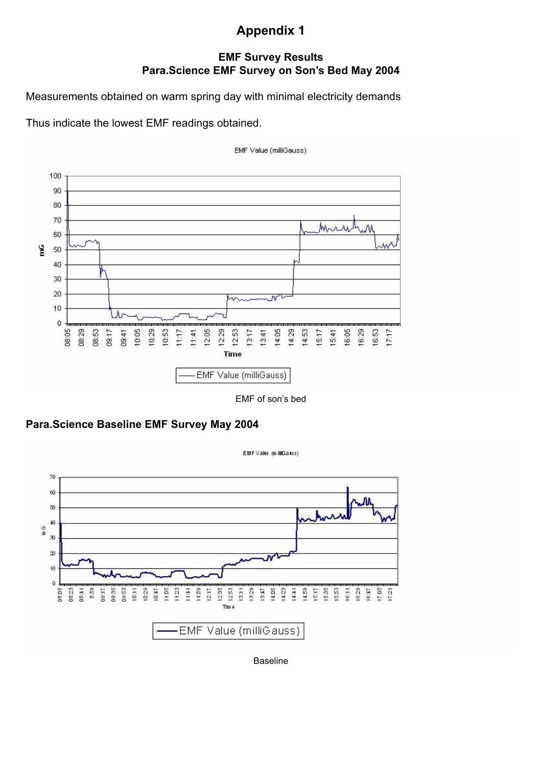# **Appendix 1**

## **EMF Survey Results Para.Science EMF Survey on Son's Bed May 2004**

Measurements obtained on warm spring day with minimal electricity demands

Thus indicate the lowest EMF readings obtained.



EMF Value (milliGauss)

EMF of son's bed

EMF Value (in IDGa uss)





Baseline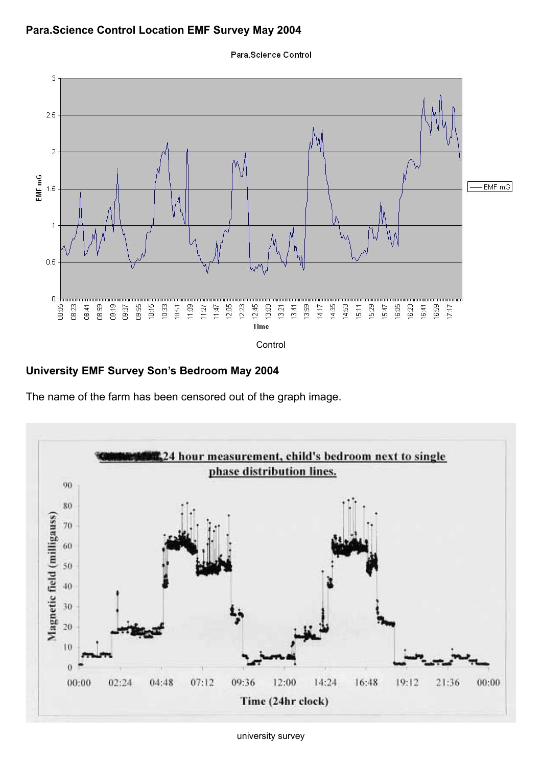## **Para.Science Control Location EMF Survey May 2004**



# **University EMF Survey Son's Bedroom May 2004**

The name of the farm has been censored out of the graph image.



Para.Science Control

university survey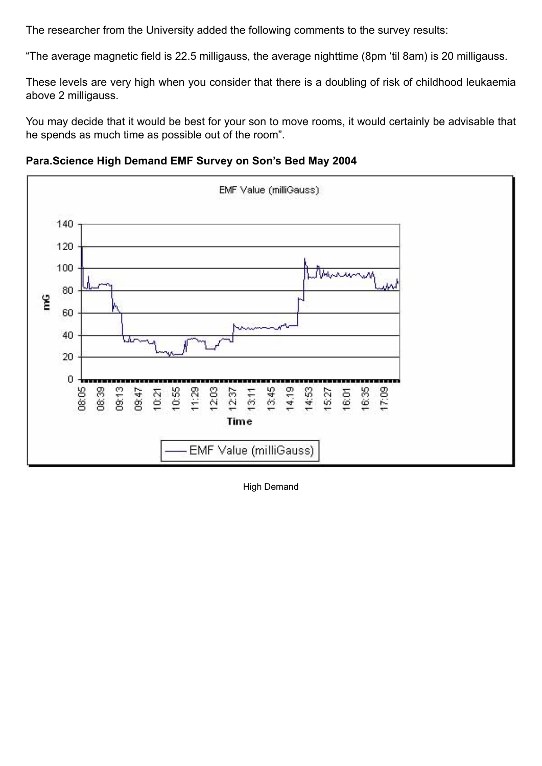The researcher from the University added the following comments to the survey results:

"The average magnetic field is 22.5 milligauss, the average nighttime (8pm 'til 8am) is 20 milligauss.

These levels are very high when you consider that there is a doubling of risk of childhood leukaemia above 2 milligauss.

You may decide that it would be best for your son to move rooms, it would certainly be advisable that he spends as much time as possible out of the room".

**Para.Science High Demand EMF Survey on Son's Bed May 2004**



High Demand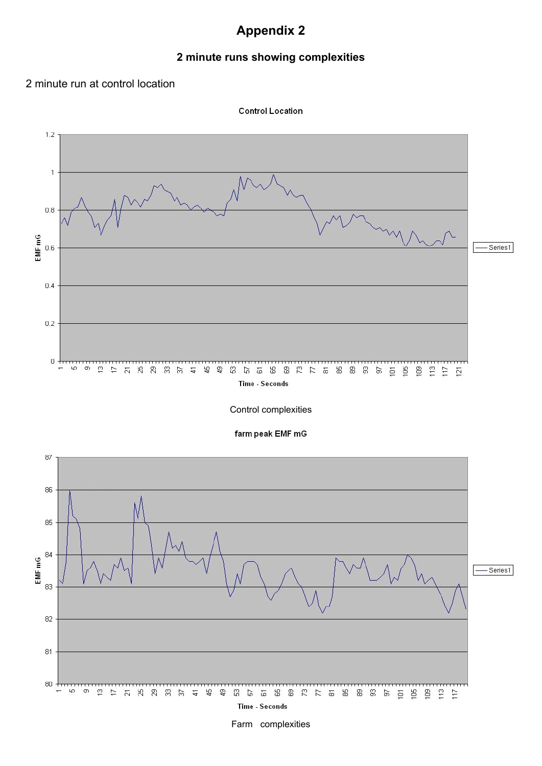# **Appendix 2**

## **2 minute runs showing complexities**

#### 2 minute run at control location



Farm complexities